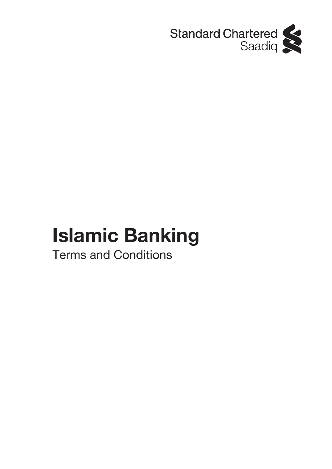

# **Islamic Banking**

Terms and Conditions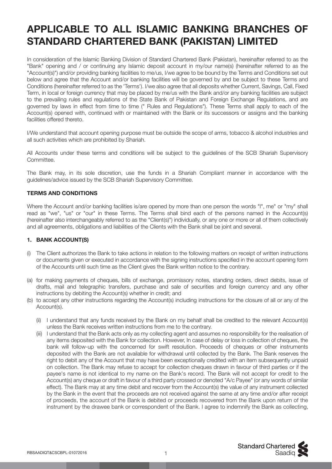# **APPLICABLE TO ALL ISLAMIC BANKING BRANCHES OF STANDARD CHARTERED BANK (PAKISTAN) LIMITED**

In consideration of the Islamic Banking Division of Standard Chartered Bank (Pakistan), hereinafter referred to as the "Bank" opening and / or continuing any Islamic deposit account in my/our name(s) (hereinafter referred to as the "Account(s)") and/or providing banking facilities to me/us, I/we agree to be bound by the Terms and Conditions set out below and agree that the Account and/or banking facilities will be governed by and be subject to these Terms and Conditions (hereinafter referred to as the 'Terms'). I/we also agree that all deposits whether Current, Savings, Call, Fixed Term, in local or foreign currency that may be placed by me/us with the Bank and/or any banking facilities are subject to the prevailing rules and regulations of the State Bank of Pakistan and Foreign Exchange Regulations, and are governed by laws in effect from time to time (" Rules and Regulations"). These Terms shall apply to each of the Account(s) opened with, continued with or maintained with the Bank or its successors or assigns and the banking facilities offered thereto.

I/We understand that account opening purpose must be outside the scope of arms, tobacco & alcohol industries and all such activities which are prohibited by Shariah.

All Accounts under these terms and conditions will be subject to the guidelines of the SCB Shariah Supervisory Committee.

The Bank may, in its sole discretion, use the funds in a Shariah Compliant manner in accordance with the guidelines/advice issued by the SCB Shariah Supervisory Committee.

# **TERMS AND CONDITIONS**

Where the Account and/or banking facilities is/are opened by more than one person the words "I", me" or "my" shall read as "we", "us" or "our" in these Terms. The Terms shall bind each of the persons named in the Account(s) (hereinafter also interchangeably referred to as the "Client(s)") individually, or any one or more or all of them collectively and all agreements, obligations and liabilities of the Clients with the Bank shall be joint and several.

# **1. BANK ACCOUNT(S)**

- (i) The Client authorizes the Bank to take actions in relation to the following matters on receipt of written instructions or documents given or executed in accordance with the signing instructions specified in the account opening form of the Accounts until such time as the Client gives the Bank written notice to the contrary.
- (a) for making payments of cheques, bills of exchange, promissory notes, standing orders, direct debits, issue of drafts, mail and telegraphic transfers, purchase and sale of securities and foreign currency and any other instructions by debiting the Account(s) whether in credit; and
- (b) to accept any other instructions regarding the Account(s) including instructions for the closure of all or any of the Account(s).
	- (ii) I understand that any funds received by the Bank on my behalf shall be credited to the relevant Account(s) unless the Bank receives written instructions from me to the contrary.
	- (iii) I understand that the Bank acts only as my collecting agent and assumes no responsibility for the realisation of any items deposited with the Bank for collection. However, In case of delay or loss in collection of cheques, the bank will follow-up with the concerned for swift resolution. Proceeds of cheques or other instruments deposited with the Bank are not available for withdrawal until collected by the Bank. The Bank reserves the right to debit any of the Account that may have been exceptionally credited with an item subsequently unpaid on collection. The Bank may refuse to accept for collection cheques drawn in favour of third parties or if the payee's name is not identical to my name on the Bank's record. The Bank will not accept for credit to the Account(s) any cheque or draft in favour of a third party crossed or denoted "A/c Payee" (or any words of similar effect). The Bank may at any time debit and recover from the Account(s) the value of any instrument collected by the Bank in the event that the proceeds are not received against the same at any time and/or after receipt of proceeds, the account of the Bank is debited or proceeds recovered from the Bank upon return of the instrument by the drawee bank or correspondent of the Bank. I agree to indemnify the Bank as collecting,

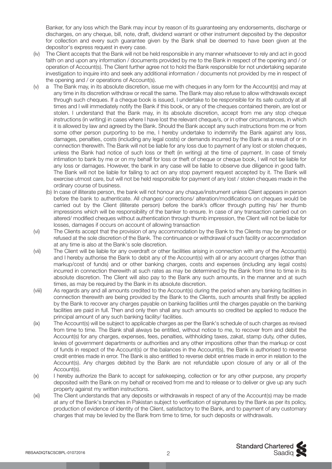Banker, for any loss which the Bank may incur by reason of its guaranteeing any endorsements, discharge or discharges, on any cheque, bill, note, draft, dividend warrant or other instrument deposited by the depositor for collection and every such guarantee given by the Bank shall be deemed to have been given at the depositor's express request in every case.

- (iv) The Client accepts that the Bank will not be held responsible in any manner whatsoever to rely and act in good faith on and upon any information / documents provided by me to the Bank in respect of the opening and / or operation of Account(s). The Client further agree not to hold the Bank responsible for not undertaking separate investigation to inquire into and seek any additional information / documents not provided by me in respect of the opening and / or operations of Account(s).
- (v) a The Bank may, in its absolute discretion, issue me with cheques in any form for the Account(s) and may at any time in its discretion withdraw or recall the same. The Bank may also refuse to allow withdrawals except through such cheques. If a cheque book is issued, I undertake to be responsible for its safe custody at all times and I will immediately notify the Bank if this book, or any of the cheques contained therein, are lost or stolen. I understand that the Bank may, in its absolute discretion, accept from me any stop cheque instructions (in writing) in cases where I have lost the relevant cheque/s, or in other circumstances, in which it is allowed by law and agreed by the Bank. Should the Bank accept any such instructions from me or from some other person purporting to be me. I hereby undertake to indemnify the Bank against any loss, damages, penalties, costs (including any legal costs) or demands incurred by the Bank as a result of or in connection therewith. The Bank will not be liable for any loss due to payment of any lost or stolen cheques, unless the Bank had notice of such loss or theft (in writing) at the time of payment. In case of timely intimation to bank by me or on my behalf for loss or theft of cheque or cheque book, I will not be liable for any loss or damages. However, the bank in any case will be liable to observe due diligence in good faith. The Bank will not be liable for failing to act on any stop payment request accepted by it. The Bank will exercise utmost care, but will not be held responsible for payment of any lost / stolen cheques made in the ordinary course of business.
	- (b) In case of illiterate person, the bank will not honour any chaque/instrument unless Client appears in person before the bank to authenticate. All changes/ corrections/ alteration/modifications on cheques would be carried out by the Client (illiterate person) before the bank's officer through putting his/ her thumb impressions which will be responsibility of the banker to ensure. In case of any transaction carried out on altered/ modified cheques without authentication through thumb impression, the Client will not be liable for losses, damages if occurs on account of allowing transaction
- (vi) The Clients accept that the provision of any accommodation by the Bank to the Clients may be granted or refused at the sole discretion of the Bank. The continuance or withdrawal of such facility or accommodation at any time is also at the Bank's sole discretion.
- (vii) The Client will be liable for any overdraft or other facilities arising in connection with any of the Account(s) and I hereby authorise the Bank to debit any of the Account(s) with all or any account charges (other than markup/cost of funds) and or other banking charges, costs and expenses (including any legal costs) incurred in connection therewith at such rates as may be determined by the Bank from time to time in its absolute discretion. The Client will also pay to the Bank any such amounts, in the manner and at such times, as may be required by the Bank in its absolute discretion.
- (viii) As regards any and all amounts credited to the Account(s) during the period when any banking facilities in connection therewith are being provided by the Bank to the Clients, such amounts shall firstly be applied by the Bank to recover any charges payable on banking facilities until the charges payable on the banking facilities are paid in full. Then and only then shall any such amounts so credited be applied to reduce the principal amount of any such banking facility/ facilities.
- (ix) The Account(s) will be subject to applicable charges as per the Bank's schedule of such charges as revised from time to time. The Bank shall always be entitled, without notice to me, to recover from and debit the Account(s) for any charges, expenses, fees, penalties, withholding taxes, zakat, stamp duty, other duties, levies of government departments or authorities and any other impositions other than the markup or cost of funds in respect of the Account(s) or the balances in the Account(s), the Bank is authorised to reverse credit entries made in error. The Bank is also entitled to reverse debit entries made in error in relation to the Account(s). Any charges debited by the Bank are not refundable upon closure of any or all of the Account(s).
- (x) I hereby authorize the Bank to accept for safekeeping, collection or for any other purpose, any property deposited with the Bank on my behalf or received from me and to release or to deliver or give up any such property against my written instructions.
- (xi) The Client understands that any deposits or withdrawals in respect of any of the Account(s) may be made at any of the Bank's branches in Pakistan subject to verification of signatures by the Bank as per its policy, production of evidence of identity of the Client, satisfactory to the Bank, and to payment of any customary charges that may be levied by the Bank from time to time, for such deposits or withdrawals.

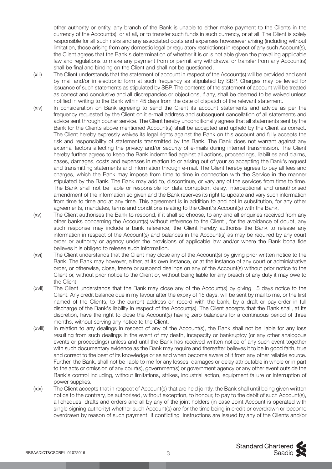other authority or entity, any branch of the Bank is unable to either make payment to the Clients in the currency of the Account(s), or at all, or to transfer such funds in such currency, or at all. The Client is solely responsible for all such risks and any associated costs and expenses howsoever arising (including without limitation, those arising from any domestic legal or regulatory restrictions) in respect of any such Account(s), the Client agrees that the Bank's determination of whether it is or is not able given the prevailing applicable law and regulations to make any payment from or permit any withdrawal or transfer from any Account(s) shall be final and binding on the Client and shall not be questioned,

- (xiii) The Client understands that the statement of account in respect of the Account(s) will be provided and sent by mail and/or in electronic form at such frequency as stipulated by SBP, Charges may be levied for issuance of such statements as stipulated by SBP. The contents of the statement of account will be treated as correct and conclusive and all discrepancies or objections, if any, shall be deemed to be waived unless notified in writing to the Bank within 45 days from the date of dispatch of the relevant statement.
- (xiv) In consideration on Bank agreeing to send the Client its account statements and advice as per the frequency requested by the Client on it e-mail address and subsequent cancellation of all statements and advice sent through courier service. The Client hereby unconditionally agrees that all statements sent by the Bank for the Clients above mentioned Account(s) shall be accepted and upheld by the Client as correct. The Client hereby expressly waives its legal rights against the Bank on this account and fully accepts the risk and responsibility of statements transmitted by the Bank. The Bank does not warrant against any external factors affecting the privacy and/or security of e-mails during internet transmission. The Client hereby further agrees to keep the Bank indemnified against all actions, proceedings, liabilities and claims, cases, damages, costs and expenses in relation to or arising out of your so accepting the Bank's request and transmitting statements and information through e-mail. The Client hereby agrees to pay all fees and charges, which the Bank may impose from time to time in connection with the Service in the manner stipulated by the Bank. The Bank may add to, discontinue, or vary any of the services from time to time. The Bank shall not be liable or responsible for data corruption, delay, interceptional and unauthorised amendment of the information so given and the Bank reserves its right to update and vary such information from time to time and at any time. This agreement is in addition to and not in substitution, for any other agreements, mandates, terms and conditions relating to the Client's Account(s) with the Bank,
- (xv) The Client authorises the Bank to respond, if it shall so choose, to any and all enquiries received from any other banks concerning the Account(s) without reference to the Client , for the avoidance of doubt, any such response may include a bank reference, the Client hereby authorise the Bank to release any information in respect of the Account(s) and balances in the Account(s) as may be required by any court order or authority or agency under the provisions of applicable law and/or where the Bank bona fide believes it is obliged to release such information.
- (xvi) The Client understands that the Client may close any of the Account(s) by giving prior written notice to the Bank. The Bank may however, either, at its own instance, or at the instance of any court or administrative order, or otherwise, close, freeze or suspend dealings on any of the Account(s) without prior notice to the Client or, without prior notice to the Client or, without being liable for any breach of any duty it may owe to the Client.
- (xvii) The Client understands that the Bank may close any of the Account(s) by giving 15 days notice to the Client. Any credit balance due in my favour after the expiry of 15 days, will be sent by mail to me, or the first named of the Clients, to the current address on record with the bank, by a draft or pay-order in full discharge of the Bank's liability in respect of the Account(s). The Client accepts that the Bank shall, at its discretion, have the right to close the Account(s) having zero balance/s for a continuous period of three months, without serving any notice to the Client.
- (xviii) In relation to any dealings in respect of any of the Account(s), the Bank shall not be liable for any loss resulting from such dealings in the event of my death, incapacity or bankruptcy (or any other analogous events or proceedings) unless and until the Bank has received written notice of any such event together with such documentary evidence as the Bank may require and thereafter believes it to be in good faith, true and correct to the best of its knowledge or as and when become aware of it from any other reliable source. Further, the Bank, shall not be liable to me for any losses, damages or delay attributable in whole or in part to the acts or omission of any court(s), government(s) or government agency or any other event outside the Bank's control including, without limitations, strikes, industrial action, equipment failure or interruption of power supplies.
- (xix) The Client accepts that in respect of Account(s) that are held jointly, the Bank shall until being given written notice to the contrary, be authorised, without exception, to honour, to pay to the debit of such Account(s), all cheques, drafts and orders and all by any of the joint holders (in case Joint Account is operated with single signing authority) whether such Account(s) are for the time being in credit or overdrawn or become overdrawn by reason of such payment. If conflicting instructions are issued by any of the Clients and/or



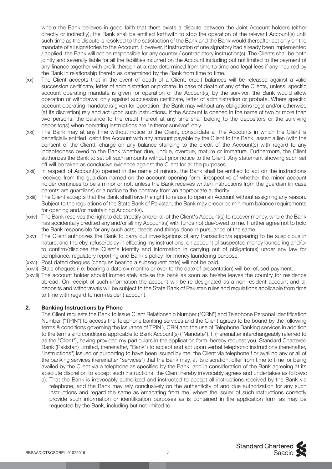where the Bank believes in good faith that there exists a dispute between the Joint Account holders (either directly or indirectly), the Bank shall be entitled forthwith to stop the operation of the relevant Account(s) until such time as the dispute is resolved to the satisfaction of the Bank and the Bank would thereafter act only on the mandate of all signatories to the Account. However, if instruction of one signatory had already been implemented / applied, the Bank will not be responsible for any counter / contradictory instruction(s). The Clients shall be both jointly and severally liable for all the liabilities incurred on the Account including but not limited to the payment of any finance together with profit thereon at a rate determined from time to time and legal fees if any incurred by the Bank in relationship thereto as determined by the Bank from time to time.

- (xx) The Client accepts that in the event of death of a Client, credit balances will be released against a valid succession certificate, letter of administration or probate. ln case of death of any of the Clients, unless, specific account operating mandate is given for operation of the Account(s) by the survivor, the Bank would allow operation or withdrawal only against succession certificate, letter of administration or probate. Where specific account operating mandate is given for operation, the Bank may without any obligations legal and/or otherwise (at its discretion) rely and act upon such instructions. If the Account is opened in the name of two or more than two persons, the balance to the credit thereof at any time shall belong to the depositors or the surviving depositor(s) when operating instructions are "eitheror survivor" only.
- (xxi) The Bank may at any time without notice to the Client, consolidate all the Accounts in which the Client is beneficially entitled, debit the Account with any amount payable by the Client to the Bank, assert a lien (with the consent of the Client), charge on any balance standing to the credit of the Account(s) with regard to any indebtedness owed to the Bank whether due, undue, overdue, mature or immature. Furthermore, the Client authorizes the Bank to set off such amounts without prior notice to the Client. Any statement showing such set off will be taken as conclusive evidence against the Client for all the purposes.
- (xxii) In respect of Account(s) opened in the name of minors, the Bank shall be entitled to act on the instructions received from the guardian named on the account opening form, irrespective of whether the minor account holder continues to be a minor or not, unless the Bank receives written instructions from the guardian (in case parents are guardians) or a notice to the contrary from an appropriate authority.
- (xxiii) The Client accepts that the Bank shall have the right to refuse to open an Account without assigning any reason. Subject to the regulations of the State Bank of Pakistan, the Bank may prescribe minimum balance requirements for opening and/or maintaining Account(s).
- (xxiv) The Bank reserves the right to debit/rectify and/or all of the Client's Account(s) to recover money, where the Bank has accidentally credited any and/or all my Account(s) with funds not due/owed to me. I further agree not to hold the Bank responsible for any such acts, deeds and things done in pursuance of the same.
- (xxv) The Client authorizes the Bank to carry out investigations of any transaction/s appearing to be suspicious in nature, and thereby, refuse/delay in effecting my instructions, on account of suspected money laundering and/or to confirm/disclose the Client's identity and information in carrying out of obligation(s) under any law for compliance, regulatory reporting and Bank's policy, for money laundering purpose.
- (xxvi) Post dated cheques (cheques bearing a subsequent date) will not be paid.
- (xxvii) Stale cheques (i.e. bearing a date six months or over to the date of presentation) will be refused payment.
- (xxviii) The account holder should immediately advise the bank as soon as he/she leaves the country for residence abroad. On receipt of such information the account will be re-designated as a non-resident account and all deposits and withdrawals will be subject to the State Bank of Pakistan rules and regulations applicable from time to time with regard to non-resident account.

#### **2. Banking Instructions by Phone**

 The Client requests the Bank to issue Client Relationship Number ("CRN") and Telephone Personal Identification Number ("TPIN") to access the Telephone banking services and the Client agrees to be bound by the following terms & conditions governing the issuance of TPIN ), CRN and the use of Telephone Banking services in addition to the terms and conditions applicable to Bank Account(s) ("Mandate"). I, (hereinafter interchangeably referred to as the "Client"), having provided my particulars in the application form, hereby request you, Standard Chartered Bank (Pakistan) Limited, (hereinafter, "Bank") to accept and act upon verbal telephonic instructions (hereinafter, "instructions") issued or purporting to have been issued by me, the Client via telephone f or availing any or all of the banking services (hereinafter "services") that the Bank may, at its discretion, offer from time to time for being availed by the Client via a telephone as specified by the Bank, and in consideration of the Bank agreeing at its absolute discretion to accept such instructions, the Client hereby irrevocably agrees and undertakes as follows:

 a). That the Bank is irrevocably authorized and instructed to accept all instructions received by the Bank via telephone, and the Bank may rely conclusively on the authenticity of and due authorization for any such instructions and regard the same as emanating from me, where the issuer of such instructions correctly provide such information or identification purposes as is contained in the application form as may be requested by the Bank, including but not limited to: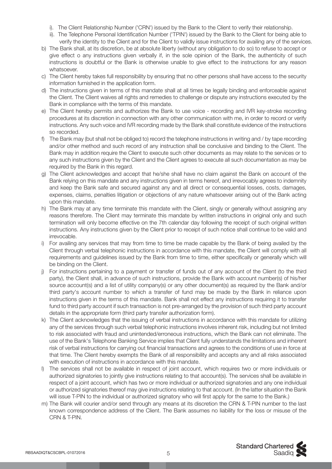- i). The Client Relationship Number ('CRN') issued by the Bank to the Client to verify their relationship.
- ii). The Telephone Personal Identification Number ('TPIN') issued by the Bank to the Client for being able to verify the identity to the Client and for the Client to validly issue instructions for availing any of the services.
- b) The Bank shall, at its discretion, be at absolute liberty (without any obligation to do so) to refuse to accept or give effect o any instructions given verbally if, in the sole opinion of the Bank, the authenticity of such instructions is doubtful or the Bank is otherwise unable to give effect to the instructions for any reason whatsoever.
- c) The Client hereby takes full responsibility by ensuring that no other persons shall have access to the security information furnished in the application form.
- d) The instructions given in terms of this mandate shall at all times be legally binding and enforceable against the Client. The Client waives all rights and remedies to challenge or dispute any instructions executed by the Bank in compliance with the terms of this mandate.
- e) The Client hereby permits and authorizes the Bank to use voice recording and IVR key-stroke recording procedures at its discretion in connection with any other communication with me, in order to record or verify instructions. Any such voice and IVR recording made by the Bank shall constitute evidence of the instructions so recorded.
- f) The Bank may (but shall not be obliged to) record the telephone instructions in writing and / by tape recording and/or other method and such record of any instruction shall be conclusive and binding to the Client. The Bank may in addition require the Client to execute such other documents as may relate to the services or to any such instructions given by the Client and the Client agrees to execute all such documentation as may be required by the Bank in this regard.
- g) The Client acknowledges and accept that he/she shall have no claim against the Bank on account of the Bank relying on this mandate and any instructions given in terms hereof, and irrevocably agrees to indemnity and keep the Bank safe and secured against any and all direct or consequential losses, costs, damages, expenses, claims, penalties litigation or objections of any nature whatsoever arising out of the Bank acting upon this mandate.
- h) The Bank may at any time terminate this mandate with the Client, singly or generally without assigning any reasons therefore. The Client may terminate this mandate by written instructions in original only and such termination will only become effective on the 7th calendar day following the receipt of such original written instructions. Any instructions given by the Client prior to receipt of such notice shall continue to be valid and irrevocable.
- i) For availing any services that may from time to time be made capable by the Bank of being availed by the Client through verbal telephonic instructions in accordance with this mandate, the Client will comply with all requirements and guidelines issued by the Bank from time to time, either specifically or generally which will be binding on the Client.
- j) For instructions pertaining to a payment or transfer of funds out of any account of the Client (to the third party), the Client shall, in advance of such instructions, provide the Bank with account number(s) of his/her source account(s) and a list of utility company(s) or any other document(s) as required by the Bank and/or third party's account number to which a transfer of fund may be made by the Bank in reliance upon instructions given in the terms of this mandate. Bank shall not effect any instructions requiring it to transfer fund to third party account if such transaction is not pre-arranged by the provision of such third party account details in the appropriate form (third party transfer authorization form).
- k) The Client acknowledges that the issuing of verbal instructions in accordance with this mandate for utilizing any of the services through such verbal telephonic instructions involves inherent risk, including but not limited to risk associated with fraud and unintended/erroneous instructions, which the Bank can not eliminate. The use of the Bank's Telephone Banking Service implies that Client fully understands the limitations and inherent risk of verbal instructions for carrying out financial transactions and agrees to the conditions of use in force at that time. The Client hereby exempts the Bank of all responsibility and accepts any and all risks associated with execution of instructions in accordance with this mandate.
- l) The services shall not be available in respect of joint account, which requires two or more individuals or authorized signatories to jointly give instructions relating to that account(s). The services shall be available in respect of a joint account, which has two or more individual or authorized signatories and any one individual or authorized signatories thereof may give instructions relating to that account. (In the latter situation the Bank will issue T-PIN to the individual or authorized signatory who will first apply for the same to the Bank.)
- m) The Bank will courier and/or send through any means at its discretion the CRN & T-PIN number to the last known correspondence address of the Client. The Bank assumes no liability for the loss or misuse of the CRN & T-PIN.

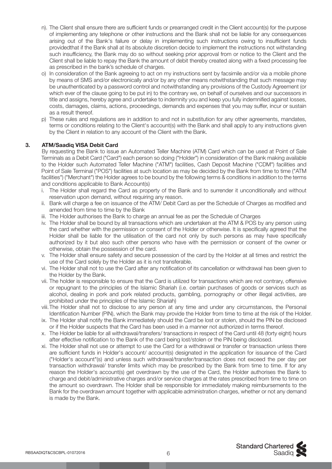- n). The Client shall ensure there are sufficient funds or prearranged credit in the Client account(s) for the purpose of implementing any telephone or other instructions and the Bank shall not be liable for any consequences arising out of the Bank's failure or delay in implementing such instructions owing to insufficient funds providedthat if the Bank shall at its absolute discretion decide to implement the instructions not withstanding such insufficiency, the Bank may do so without seeking prior approval from or notice to the Client and the Client shall be liable to repay the Bank the amount of debit thereby created along with a fixed processing fee as prescribed in the bank's schedule of charges.
- o) In consideration of the Bank agreeing to act on my instructions sent by facsimile and/or via a mobile phone by means of SMS and/or electronically and/or by any other means notwithstanding that such message may be unauthenticated by a password control and notwithstanding any provisions of the Custody Agreement (or which ever of the clause going to be put in) to the contrary we, on behalf of ourselves and our successors in title and assigns, hereby agree and undertake to indemnity you and keep you fully indemnified against losses, costs, damages, claims, actions, proceedings, demands and expenses that you may suffer, incur or sustain as a result thereof.
- p) These rules and regulations are in addition to and not in substitution for any other agreements, mandates, terms or conditions relating to the Client's account(s) with the Bank and shall apply to any instructions given by the Client in relation to any account of the Client with the Bank.

# **3. ATM/Saadiq VISA Debit Card**

 By requesting the Bank to issue an Automated Teller Machine (ATM) Card which can be used at Point of Sale Terminals as a Debit Card ("Card") each person so doing ("Holder") in consideration of the Bank making available to the Holder such Automated Teller Machine ("ATM") facilities, Cash Deposit Machine ("CDM") facilities and Point of Sale Terminal ("POS") facilities at such location as may be decided by the Bank from time to time ("ATM facilities") ("Merchant") the Holder agrees to be bound by the following terms & conditions in addition to the terms and conditions applicable to Bank Account(s)

- i. The Holder shall regard the Card as property of the Bank and to surrender it unconditionally and without reservation upon demand, without requiring any reason.
- ii. Bank will charge a fee on issuance of the ATM/ Debit Card as per the Schedule of Charges as modified and amended from time to time by the Bank
- iii. The Holder authorises the Bank to charge an annual fee as per the Schedule of Charges
- iv. The Holder shall be bound by all transactions which are undertaken at the ATM & POS by any person using the card whether with the permission or consent of the Holder or otherwise. It is specifically agreed that the Holder shall be liable for the utilisation of the card not only by such persons as may have specifically authorized by it but also such other persons who have with the permission or consent of the owner or otherwise, obtain the possession of the card.
- v. The Holder shall ensure safety and secure possession of the card by the Holder at all times and restrict the use of the Card solely by the Holder as it is not transferable.
- vi. The Holder shall not to use the Card after any notification of its cancellation or withdrawal has been given to the Holder by the Bank.
- vii. The holder is responsible to ensure that the Card is utilized for transactions which are not contrary, offensive or repugnant to the principles of the Islamic Shariah (i.e. certain purchases of goods or services such as alcohol, dealing in pork and pork related products, gambling, pornography or other illegal activities, are prohibited under the principles of the Islamic Shariah)
- viii. The Holder shall not to disclose to any person at any time and under any circumstances, the Personal Identification Number (PIN), which the Bank may provide the Holder from time to time at the risk of the Holder.
- ix. The Holder shall notify the Bank immediately should the Card be lost or stolen, should the PIN be disclosed or if the Holder suspects that the Card has been used in a manner not authorized in terms thereof.
- x. The Holder be liable for all withdrawal/transfers/ transactions in respect of the Card until 48 (forty eight) hours after effective notification to the Bank of the card being lost/stolen or the PIN being disclosed.
- xi. The Holder shall not use or attempt to use the Card for a withdrawal or transfer or transaction unless there are sufficient funds in Holder's account/ account(s) designated in the application for issuance of the Card ("Holder's account"(s) and unless such withdrawal/transfer/transaction does not exceed the per day per transaction withdrawal/ transfer limits which may be prescribed by the Bank from time to time. If for any reason the Holder's account(s) get overdrawn by the use of the Card, the Holder authorises the Bank to charge and debit/administrative charges and/or service charges at the rates prescribed from time to time on the amount so overdrawn. The Holder shall be responsible for immediately making reimbursements to the Bank for the overdrawn amount together with applicable administration charges, whether or not any demand is made by the Bank.

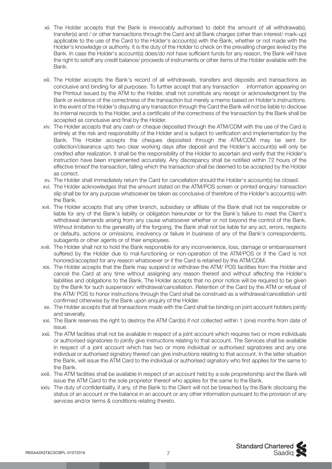- xii. The Holder accepts that the Bank is irrevocably authorised to debit the amount of all withdrawal(s), transfer(s) and / or other transactions through the Card and all Bank charges (other than interest/ mark-up) applicable to the use of the Card to the Holder's account(s) with the Bank, whether or not made with the Holder's knowledge or authority. It is the duty of the Holder to check on the prevailing charges levied by the Bank. In case the Holder's account(s) does/do not have sufficient funds for any reason, the Bank will have the right to setoff any credit balance/ proceeds of instruments or other items of the Holder available with the Bank.
- xiii. The Holder accepts the Bank's record of all withdrawals, transfers and deposits and transactions as conclusive and binding for all purposes. To further accept that any transaction information appearing on the Printout issued by the ATM to the Holder, shall not constitute any receipt or acknowledgment by the Bank or evidence of the correctness of the transaction but merely a memo based on Holder's instructions. In the event of the Holder's disputing any transaction through the Card the Bank will not be liable to disclose its internal records to the Holder, and a certificate of the correctness of the transaction by the Bank shall be accepted as conclusive and final by the Holder.
- xiv. The Holder accepts that any cash or cheque deposited through the ATM/CDM with the use of the Card is entirely at the risk and responsibility of the Holder and is subject to verification and implementation by the Bank. The Holder accepts the cheques deposited through the ATM/CDM may be sent for collection/clearance upto two clear working days after deposit and the Holder's account(s) will only be credited after realization. It shall be the responsibility of the Holder to ascertain and verify that the Holder's instruction have been implemented accurately. Any discrepancy shall be notified within 72 hours of the effective timeof the transaction, falling which the transaction shall be deemed to be accepted by the Holder as correct.
- xv. The Holder shall immediately return the Card for cancellation should the Holder's account(s) be closed.
- xvi. The Holder acknowledges that the amount stated on the ATM/POS screen or printed enquiry/ transaction slip shall be for any purpose whatsoever be taken as conclusive of therefore of the Holder's account(s) with the Bank.
- xvii. The Holder accepts that any other branch, subsidiary or affiliate of the Bank shall not be responsible or liable for any of the Bank's liability or obligation hereunder or for the Bank's failure to meet the Client's withdrawal demands arising from any cause whatsoever whether or not beyond the control of the Bank. Without limitation to the generality of the forgoing, the Bank shall not be liable for any act, errors, neglects or defaults, actions or omissions, insolvency or failure in business of any of the Bank's correspondents, subagents or other agents or of their employees.
- xviii. The Holder shall not to hold the Bank responsible for any inconvenience, loss, damage or embarrassment suffered by the Holder due to mal-functioning or non-operation of the ATM/POS or if the Card is not honored/accepted for any reason whatsoever or if the Card is retained by the ATM/CDM.
- xix. The Holder accepts that the Bank may suspend or withdraw the ATM/ POS facilities from the Holder and cancel the Card at any time without assigning any reason thereof and without affecting the Holder's liabilities and obligations to the Bank. The Holder accepts that no prior notice will be required to be given by the Bank for such suspension/ withdrawal/cancellation. Retention of the Card by the ATM or refusal of the ATM/ POS to honor instructions through the Card shall be construed as a withdrawal/cancellation until confirmed otherwise by the Bank upon enquiry of the Holder.
- xx. The Holder accepts that all transactions made with the Card shall be binding on joint account holders jointly and severally.
- xxi. The Bank reserves the right to destroy the ATM Card(s) if not collected within 1 (one) months from date of issue.
- xxii. The ATM facilities shall not be available in respect of a joint account which requires two or more individuals or authorised signatories to jointly give instructions relating to that account. The Services shall be available in respect of a joint account which has two or more individual or authorised signatories and any one individual or authorised signatory thereof can give instructions relating to that account. In the latter situation the Bank, will issue the ATM Card to the individual or authorised signatory who first applies for the same to the Bank.
- xxiii. The ATM facilities shall be available in respect of an account held by a sole proprietorship and the Bank will issue the ATM Card to the sole proprietor thereof who applies for the same to the Bank.
- xxiv. The duty of confidentiality, if any, of the Bank to the Client will not be breached by the Bank disclosing the status of an account or the balance in an account or any other information pursuant to the provision of any services and/or terms & conditions relating thereto.

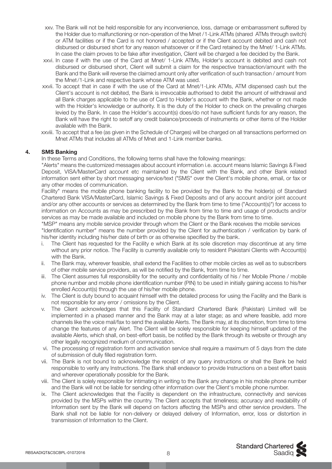- xxv. The Bank will not be held responsible for any inconvenience, loss, damage or embarrassment suffered by the Holder due to malfunctioning or non-operation of the Mnet /1-Link ATMs (shared ATMs through switch) or ATM facilities or if the Card is not honored / accepted or if the Client account debited and cash not disbursed or disbursed short for any reason whatsoever or if the Card retained by the Mnet/ 1-Link ATMs. In case the claim proves to be fake after investigation, Client will be charged a fee decided by the Bank.
- xxvi. In case if with the use of the Card at Mnet/ 1-Link ATMs, Holder's account is debited and cash not disbursed or disbursed short, Client will submit a claim for the respective transaction/amount with the Bank and the Bank will reverse the claimed amount only after verification of such transaction / amount from the Mnet/1-Link and respective bank whose ATM was used.
- xxvii. To accept that in case if with the use of the Card at Mnet/1-Link ATMs, ATM dispensed cash but the Client's account is not debited, the Bank is irrevocable authorised to debit the amount of withdrawal and all Bank charges applicable to the use of Card to Holder's account with the Bank, whether or not made with the Holder's knowledge or authority. It is the duty of the Holder to check on the prevailing charges levied by the Bank. In case the Holder's account(s) does/do not have sufficient funds for any reason, the Bank will have the right to setoff any credit balance/proceeds of instruments or other items of the Holder available with the Bank.
- xxviii. To accept that a fee (as given in the Schedule of Charges) will be charged on all transactions performed on Mnet ATMs that includes all ATMs of Mnet and 1-Link member banks.

# **4. SMS Banking**

In these Terms and Conditions, the following terms shall have the following meanings:

 "Alerts" means the customized messages about account information i.e. account means Islamic Savings & Fixed Deposit, VISA/MasterCard account etc maintained by the Client with the Bank, and other Bank related information sent either by short messaging service/text ("SMS" over the Client's mobile phone, email, or fax or any other modes of communication.

 Facility" means the mobile phone banking facility to be provided by the Bank to the holder(s) of Standard Chartered Bank VISA/MasterCard, Islamic Savings & Fixed Deposits and of any account and/or joint account and/or any other accounts or services as determined by the Bank from time to time ("Account(s)") for access to information on Accounts as may be prescribed by the Bank from time to time and usage of products and/or services as may be made available and included on mobile phone by the Bank from time to time.

 "MSP" means any mobile service provider through whom the Client or the Bank receives the mobile services "Identification number" means the number provided by the Client for authentication / verification by bank of his/her identity including his/her date of birth or as otherwise specified by the bank.

- i. The Client has requested for the Facility e which Bank at its sole discretion may discontinue at any time without any prior notice. The Facility is currently available only to resident Pakistani Clients with Account(s) with the Bank.
- ii. The Bank may, wherever feasible, shall extend the Facilities to other mobile circles as well as to subscribers of other mobile service providers, as will be notified by the Bank, from time to time.
- iii. The Client assumes full responsibility for the security and confidentiality of his / her Mobile Phone / mobile phone number and mobile phone identification number (PIN) to be used in initially gaining access to his/her enrolled Account(s) through the use of his/her mobile phone.
- iv. The Client is duty bound to acquaint himself with the detailed process for using the Facility and the Bank is not responsible for any error / omissions by the Client.
- v. The Client acknowledges that this Facility of Standard Chartered Bank (Pakistan) Limited will be implemented in a phased manner and the Bank may at a later stage; as and where feasible, add more channels like the voice mail/fax to send the available Alerts. The Bank may, at its discretion, from time to time change the features of any Alert. The Client will be solely responsible for keeping himself updated of the available Alerts, which shall, on best-effort basis, be notified by the Bank through its website or through any other legally recognized medium of communication.
- vi. The processing of registration form and activation service shall require a maximum of 5 days from the date of submission of dully filled registration form.
- vii. The Bank is not bound to acknowledge the receipt of any query instructions or shall the Bank be held responsible to verify any Instructions. The Bank shall endeavor to provide Instructions on a best effort basis and wherever operationally possible for the Bank.
- viii. The Client is solely responsible for intimating in writing to the Bank any change in his mobile phone number and the Bank will not be liable for sending other information over the Client's mobile phone number.
- ix. The Client acknowledges that the Facility is dependent on the infrastructure, connectivity and services provided by the MSPs within the country. The Client accepts that timeliness; accuracy and readability of Information sent by the Bank will depend on factors affecting the MSPs and other service providers. The Bank shall not be liable for non-delivery or delayed delivery of Information, error, loss or distortion in transmission of Information to the Client.

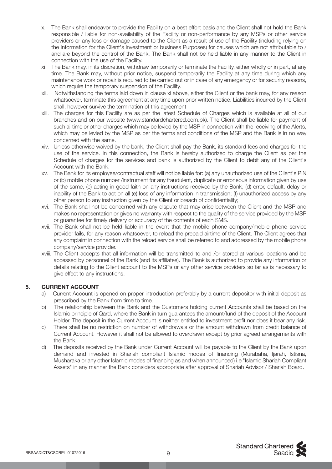- x. The Bank shall endeavor to provide the Facility on a best effort basis and the Client shall not hold the Bank responsible / liable for non-availability of the Facility or non-performance by any MSPs or other service providers or any loss or damage caused to the Client as a result of use of the Facility (including relying on the Information for the Client's investment or business Purposes) for causes which are not attributable to / and are beyond the control of the Bank. The Bank shall not be held liable in any manner to the Client in connection with the use of the Facility.
- xi. The Bank may, in its discretion, withdraw temporarily or terminate the Facility, either wholly or in part, at any time. The Bank may, without prior notice, suspend temporarily the Facility at any time during which any maintenance work or repair is required to be carried out or in case of any emergency or for security reasons, which require the temporary suspension of the Facility.
- xii. Notwithstanding the terms laid down in clause xi above, either the Client or the bank may, for any reason whatsoever, terminate this agreement at any time upon prior written notice. Liabilities incurred by the Client shall, however survive the termination of this agreement
- xiii. The charges for this Facility are as per the latest Schedule of Charges which is available at all of our branches and on our website (www.standardchartered.com.pk). The Client shall be liable for payment of such airtime or other charges which may be levied by the MSP in connection with the receiving of the Alerts, which may be levied by the MSP as per the terms and conditions of the MSP and the Bank is in no way concerned with the same.
- xiv. Unless otherwise waived by the bank, the Client shall pay the Bank, its standard fees and charges for the use of the service. In this connection, the Bank is hereby authorized to charge the Client as per the Schedule of charges for the services and bank is authorized by the Client to debit any of the Client's Account with the Bank.
- xv. The Bank for its employee/contractual staff will not be liable for: (a) any unauthorized use of the Client's PIN or (b) mobile phone number /instrument for any fraudulent, duplicate or erroneous information given by use of the same; (c) acting in good faith on any instructions received by the Bank; (d) error, default, delay or inability of the Bank to act on all (e) loss of any information in transmission; (f) unauthorized access by any other person to any instruction given by the Client or breach of confidentiality;
- xvi. The Bank shall not be concerned with any dispute that may arise between the Client and the MSP and makes no representation or gives no warranty with respect to the quality of the service provided by the MSP or guarantee for timely delivery or accuracy of the contents of each SMS.
- xvii. The Bank shall not be held liable in the event that the mobile phone company/mobile phone service provider fails, for any reason whatsoever, to reload the prepaid airtime of the Client. The Client agrees that any complaint in connection with the reload service shall be referred to and addressed by the mobile phone company/service provider.
- xviii. The Client accepts that all information will be transmitted to and /or stored at various locations and be accessed by personnel of the Bank (and its affiliates). The Bank is authorized to provide any information or details relating to the Client account to the MSPs or any other service providers so far as is necessary to give effect to any instructions.

# **5. CURRENT ACCOUNT**

- a) Current Account is opened on proper introduction preferably by a current depositor with initial deposit as prescribed by the Bank from time to time.
- b) The relationship between the Bank and the Customers holding current Accounts shall be based on the Islamic principle of Qard, where the Bank in turn guarantees the amount/fund of the deposit of the Account Holder. The deposit in the Current Account is neither entitled to investment profit nor does it bear any risk.
- c) There shall be no restriction on number of withdrawals or the amount withdrawn from credit balance of Current Account. However it shall not be allowed to overdrawn except by prior agreed arrangements with the Bank.
- d) The deposits received by the Bank under Current Account will be payable to the Client by the Bank upon demand and invested in Shariah compliant Islamic modes of financing (Murabaha, Ijarah, Istisna, Musharaka or any other Islamic modes of financing as and when announced) i.e "Islamic Shariah Compliant Assets" in any manner the Bank considers appropriate after approval of Shariah Advisor / Shariah Board.

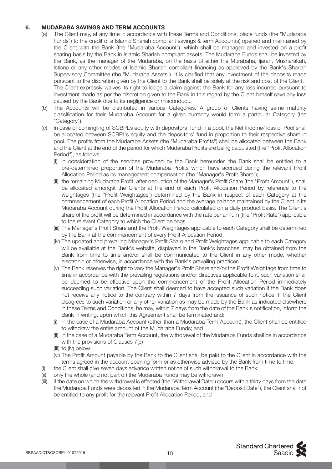# **6. MUDARABA SAVINGS AND TERM ACCOUNTS**

- (a) The Client may, at any time in accordance with these Terms and Conditions, place funds (the "Mudaraba Funds") to the credit of a Islamic Shariah compliant savings & term Account(s) opened and maintained by the Client with the Bank (the "Mudaraba Account"), which shall be managed and invested on a profit sharing basis by the Bank in Islamic Shariah compliant assets. The Mudaraba Funds shall be invested by the Bank, as the manager of the Mudaraba, on the basis of either the Murabaha, Ijarah, Musharakah, Istisna or any other modes of Islamic Shariah compliant financing as approved by the Bank's Shariah Supervisory Committee (the "Mudaraba Assets"). It is clarified that any investment of the deposits made pursuant to the discretion given by the Client to the Bank shall be solely at the risk and cost of the Client. The Client expressly waives its right to lodge a claim against the Bank for any loss incurred pursuant to investment made as per the discretion given to the Bank in this regard by the Client himself save any loss caused by the Bank due to its negligence or misconduct.
- (b) The Accounts will be distributed in various Categories. A group of Clients having same maturity classification for their Mudaraba Account for a given currency would form a particular Category (the "Category").
- (c) In case of comingling of SCBPL's equity with depositors' fund in a pool, the Net Income/ loss of Pool shall be allocated between SCBPL's equity and the depositors' fund in proportion to their respective share in pool. The profits from the Mudaraba Assets (the "Mudaraba Profits") shall be allocated between the Bank and the Client at the end of the period for which Mudaraba Profits are being calculated (the "Profit Allocation Period"), as follows:
	- (i) in consideration of the services provided by the Bank hereunder, the Bank shall be entitled to a pre-determined proportion of the Mudaraba Profits which have accrued during the relevant Profit Allocation Period as its management compensation (the "Manager's Profit Share");
	- (ii) the remaining Mudaraba Profit, after deduction of the Manager's Profit Share (the "Profit Amount"), shall be allocated amongst the Clients at the end of each Profit Allocation Period by reference to the weightages (the "Profit Weightages") determined by the Bank in respect of each Category at the commencement of each Profit Allocation Period and the average balance maintained by the Client in its Mudaraba Account during the Profit Allocation Period calculated on a daily product basis. The Client's share of the profit will be determined in accordance with the rate per annum (the "Profit Rate") applicable to the relevant Category to which the Client belongs.
	- (iii) The Manager's Profit Share and the Profit Weightages applicable to each Category shall be determined by the Bank at the commencement of every Profit Allocation Period.
	- (iv) The updated and prevailing Manager's Profit Share and Profit Weightages applicable to each Category will be available at the Bank's website, displayed in the Bank's branches, may be obtained from the Bank from time to time and/or shall be communicated to the Client in any other mode, whether electronic or otherwise, in accordance with the Bank's prevailing practices.
	- (v) The Bank reserves the right to vary the Manager's Profit Share and/or the Profit Weightage from time to time in accordance with the prevailing regulations and/or directives applicable to it, such variation shall be deemed to be effective upon the commencement of the Profit Allocation Period immediately succeeding such variation. The Client shall deemed to have accepted such variation if the Bank does not receive any notice to the contrary within 7 days from the issuance of such notice. If the Client disagrees to such variation or any other variation as may be made by the Bank as indicated elsewhere in these Terms and Conditions, he may, within 7 days from the date of the Bank's notification, inform the Bank in writing, upon which this Agreement shall be terminated and:
	- (i) in the case of a Mudaraba Account (other than a Mudaraba Term Account), the Client shall be entitled to withdraw the entire amount of the Mudaraba Funds; and
	- (ii) in the case of a Mudaraba Term Account, the withdrawal of the Mudaraba Funds shall be in accordance with the provisions of Clauses 7(c)
	- (iii) to (iv) below.
	- (vi) The Profit Amount payable by the Bank to the Client shall be paid to the Client in accordance with the terms agreed in the account opening form or as otherwise advised by the Bank from time to time.
- (i) the Client shall give seven days advance written notice of such withdrawal to the Bank;
- (ii) only the whole (and not part of) the Mudaraba Funds may be withdrawn;
- (iii) if the date on which the withdrawal is effected (the "Withdrawal Date") occurs within thirty days from the date the Mudaraba Funds were deposited in the Mudaraba Term Account (the "Deposit Date"), the Client shall not be entitled to any profit for the relevant Profit Allocation Period; and

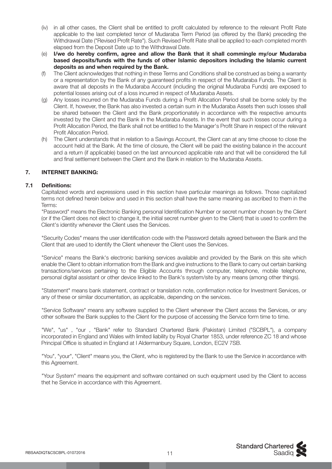- (iv) in all other cases, the Client shall be entitled to profit calculated by reference to the relevant Profit Rate applicable to the last completed tenor of Mudaraba Term Period (as offered by the Bank) preceding the Withdrawal Date ("Revised Profit Rate"). Such Revised Profit Rate shall be applied to each completed month elapsed from the Deposit Date up to the Withdrawal Date.
- (e) **I/we do hereby confirm, agree and allow the Bank that it shall commingle my/our Mudaraba based deposits/funds with the funds of other Islamic depositors including the Islamic current deposits as and when required by the Bank.**
- (f) The Client acknowledges that nothing in these Terms and Conditions shall be construed as being a warranty or a representation by the Bank of any guaranteed profits in respect of the Mudaraba Funds. The Client is aware that all deposits in the Mudaraba Account (including the original Mudaraba Funds) are exposed to potential losses arising out of a loss incurred in respect of Mudaraba Assets.
- (g) Any losses incurred on the Mudaraba Funds during a Profit Allocation Period shall be borne solely by the Client. If, however, the Bank has also invested a certain sum in the Mudaraba Assets then such losses shall be shared between the Client and the Bank proportionately in accordance with the respective amounts invested by the Client and the Bank in the Mudaraba Assets. In the event that such losses occur during a Profit Allocation Period, the Bank shall not be entitled to the Manager's Profit Share in respect of the relevant Profit Allocation Period.
- (h) The Client understands that in relation to a Savings Account, the Client can at any time choose to close the account held at the Bank. At the time of closure, the Client will be paid the existing balance in the account and a return (if applicable) based on the last announced applicable rate and that will be considered the full and final settlement between the Client and the Bank in relation to the Mudaraba Assets.

# **7. INTERNET BANKING:**

# **7.1 Definitions:**

 Capitalized words and expressions used in this section have particular meanings as follows. Those capitalized terms not defined herein below and used in this section shall have the same meaning as ascribed to them in the Terms:

 "Password" means the Electronic Banking personal Identification Number or secret number chosen by the Client (or if the Client does not elect to change it, the initial secret number given to the Client) that is used to confirm the Client's identity whenever the Client uses the Services.

 "Security Codes" means the user identification code with the Password details agreed between the Bank and the Client that are used to identify the Client whenever the Client uses the Services.

 "Service" means the Bank's electronic banking services available and provided by the Bank on this site which enable the Client to obtain information from the Bank and give instructions to the Bank to carry out certain banking transactions/services pertaining to the Eligible Accounts through computer, telephone, mobile telephone, personal digital assistant or other device linked to the Bank's system/site by any means (among other things).

 "Statement" means bank statement, contract or translation note, confirmation notice for Investment Services, or any of these or similar documentation, as applicable, depending on the services.

 "Service Software" means any software supplied to the Client whenever the Client access the Services, or any other software the Bank supplies to the Client for the purpose of accessing the Service form time to time.

 "We", "us" , "our , "Bank" refer to Standard Chartered Bank (Pakistan) Limited ("SCBPL"), a company incorporated in England and Wales with limited liability by Royal Charter 1853, under reference ZC 18 and whose Principal Office is situated in England at I Aldermanbury Square, London, EC2V 7SB.

 "You", "your", "Client" means you, the Client, who is registered by the Bank to use the Service in accordance with this Agreement.

 "Your System" means the equipment and software contained on such equipment used by the Client to access thet he Service in accordance with this Agreement.

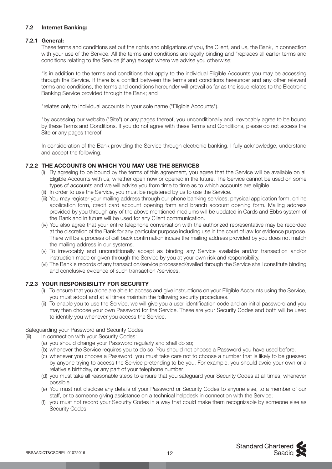# **7.2 Internet Banking:**

# **7.2.1 General:**

 These terms and conditions set out the rights and obligations of you, the Client, and us, the Bank, in connection with your use of the Service. All the terms and conditions are legally binding and "replaces all earlier terms and conditions relating to the Service (if any) except where we advise you otherwise;

 "is in addition to the terms and conditions that apply to the individual Eligible Accounts you may be accessing through the Service. If there is a conflict between the terms and conditions hereunder and any other relevant terms and conditions, the terms and conditions hereunder will prevail as far as the issue relates to the Electronic Banking Service provided through the Bank; and

"relates only to individual accounts in your sole name ("Eligible Accounts").

 "by accessing our website ("Site") or any pages thereof, you unconditionally and irrevocably agree to be bound by these Terms and Conditions. If you do not agree with these Terms and Conditions, please do not access the Site or any pages thereof.

 In consideration of the Bank providing the Service through electronic banking. I fully acknowledge, understand and accept the following:

# **7.2.2 THE ACCOUNTS ON WHICH YOU MAY USE THE SERVICES**

- (i) By agreeing to be bound by the terms of this agreement, you agree that the Service will be available on all Eligible Accounts with us, whether open now or opened in the future. The Service cannot be used on some types of accounts and we will advise you from time to time as to which accounts are eligible.
- (ii) In order to use the Service, you must be registered by us to use the Service.
- (iii) You may register your mailing address through our phone banking services, physical application form, online application form, credit card account opening form and branch account opening form. Mailing address provided by you through any of the above mentioned mediums will be updated in Cards and Ebbs system of the Bank and in future will be used for any Client communication.
- (iv) You also agree that your entire telephone conversation with the authorized representative may be recorded at the discretion of the Bank for any particular purpose including use in the court of law for evidence purpose. There will be a process of call back confirmation incase the mailing address provided by you does not match the mailing address in our systems.
- (v) To irrevocably and unconditionally accept as binding any Service available and/or transaction and/or instruction made or given through the Service by you at your own risk and responsibility.
- (vi) The Bank's records of any transaction/service processed/availed through the Service shall constitute binding and conclusive evidence of such transaction /services.

# **7.2.3 YOUR RESPONSIBILITY FOR SECURITY**

- (i) To ensure that you alone are able to access and give instructions on your Eligible Accounts using the Service, you must adopt and at all times maintain the following security procedures.
- (ii) To enable you to use the Service, we will give you a user identification code and an initial password and you may then choose your own Password for the Service. These are your Security Codes and both will be used to identify you whenever you access the Service.

# Safeguarding your Password and Security Codes

- (iii) In connection with your Security Codes:
	- (a) you should change your Password regularly and shall do so;
	- (b) whenever the Service requires you to do so. You should not choose a Password you have used before;
	- (c) whenever you choose a Password, you must take care not to choose a number that is likely to be guessed by anyone trying to access the Service pretending to be you. For example, you should avoid your own or a relative's birthday, or any part of your telephone number;
	- (d) you must take all reasonable steps to ensure that you safeguard your Security Codes at all times, whenever possible.
	- (e) You must not disclose any details of your Password or Security Codes to anyone else, to a member of our staff, or to someone giving assistance on a technical helpdesk in connection with the Service;
	- (f) you must not record your Security Codes in a way that could make them recognizable by someone else as Security Codes;

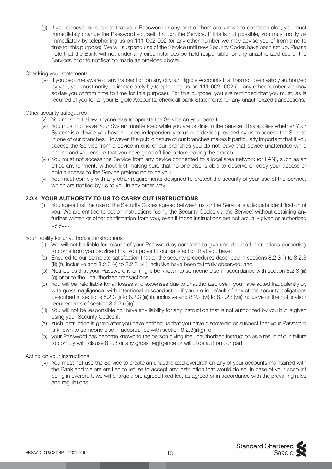(g) if you discover or suspect that your Password or any part of them are known to someone else, you must immediately change the Password yourself through the Service. If this is not possible, you must notify us immediately by telephoning us on 111-002-002 (or any other number we may advise you of from time to time for this purpose). We will suspend use of the Service until new Security Codes have been set up. Please note that the Bank will not under any circumstances be held responsible for any unauthorized use of the Services prior to notification made as provided above.

#### Checking your statements

 (iv) If you become aware of any transaction on any of your Eligible Accounts that has not been validly authorized by you, you must notify us immediately by telephoning us on 111-002- 002 (or any other number we may advise you of from time to time for this purpose). For this purpose, you are reminded that you must, as is required of you for all your Eligible Accounts, check all bank Statements for any unauthorized transactions.

#### Other security safeguards

- (v) You must not allow anyone else to operate the Service on your behalf.
- (vi) You must not leave Your System unattended while you are on-line to the Service. This applies whether Your System is a device you have sourced independently of us or a device provided by us to access the Service in one of our branches. However, the public nature of our branches makes it particularly important that if you access the Service from a device in one of our branches you do not leave that device unattended while on-line and you ensure that you have gone off-line before leaving the branch.
- (vii) You must not access the Service from any device connected to a local area network (or LAN), such as an office environment, without first making sure that no one else is able to observe or copy your access or obtain access to the Service pretending to be you.
- (viii) You must comply with any other requirements designed to protect the security of your use of the Service, which are notified by us to you in any other way.

# **7.2.4 YOUR AUTHORITY TO US TO CARRY OUT INSTRUCTIONS**

 (i) You agree that the use of the Security Codes agreed between us for the Service is adequate identification of you. We are entitled to act on instructions (using the Security Codes via the Service) without obtaining any further written or other confirmation from you, even if those instructions are not actually given or authorized by you.

Your liability for unauthorized instructions

- (ii) We will not be liable for misuse of your Password by someone to give unauthorized instructions purporting to come from you provided that you prove to our satisfaction that you have:
- (a) Ensured to our complete satisfaction that all the security procedures described in sections 8.2.3 (i) to 8.2.3 (iii) (f), inclusive and  $8.2.3$  (v) to  $8.2.3$  (viii) inclusive have been faithfully observed; and
- (b) Notified us that your Password is or might be known to someone else in accordance with section 8.2.3 (iii) (g) prior to the unauthorized transactions.
- (c) You will be held liable for all losses and expenses due to unauthorized use if you have acted fraudulently or, with gross negligence, with intentional misconduct or if you are in default of any of the security obligations described in sections 8.2.3 (i) to 8.2.3 (iii) (f), inclusive and 8.2.2 (vi) to 8.2.23 (viii) inclusive or the notification requirements of section 8.2.3 (iii)(g).
- (iii) You will not be responsible nor have any liability for any instruction that is not authorized by you but is given using your Security Codes if:
- (a) such instruction is given after you have notified us that you have discovered or suspect that your Password is known to someone else in accordance with section 8.2.3(iii)(g); or
- (b) your Password has become known to the person giving the unauthorized instruction as a result of our failure to comply with clause 8.2.8 or any gross negligence or willful default on our part.

#### Acting on your instructions

 (iv) You must not use the Service to create an unauthorized overdraft on any of your accounts maintained with the Bank and we are entitled to refuse to accept any instruction that would do so. In case of your account being in overdraft, we will charge a pre agreed fixed fee, as agreed or in accordance with the prevailing rules and regulations.

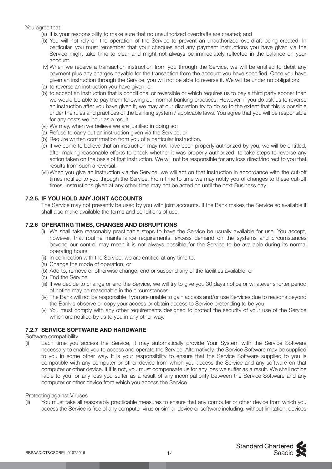You agree that:

- (a) It is your responsibility to make sure that no unauthorized overdrafts are created; and
- (b) You will not rely on the operation of the Service to prevent an unauthorized overdraft being created. In particular, you must remember that your cheques and any payment instructions you have given via the Service might take time to clear and might not always be immediately reflected in the balance on your account.
- (v) When we receive a transaction instruction from you through the Service, we will be entitled to debit any payment plus any charges payable for the transaction from the account you have specified. Once you have given an instruction through the Service, you will not be able to reverse it. We will be under no obligation:
- (a) to reverse an instruction you have given; or
- (b) to accept an instruction that is conditional or reversible or which requires us to pay a third party sooner than we would be able to pay them following our normal banking practices. However, if you do ask us to reverse an instruction after you have given it, we may at our discretion try to do so to the extent that this is possible under the rules and practices of the banking system / applicable laws. You agree that you will be responsible for any costs we incur as a result.
- (vi) We may, when we believe we are justified in doing so:
- (a) Refuse to carry out an instruction given via the Service; or
- (b) Require written confirmation from you of a particular instruction.
- (c) If we come to believe that an instruction may not have been properly authorized by you, we will be entitled, after making reasonable efforts to check whether it was properly authorized, to take steps to reverse any action taken on the basis of that instruction. We will not be responsible for any loss direct/indirect to you that results from such a reversal.
- (vii) When you give an instruction via the Service, we will act on that instruction in accordance with the cut-off times notified to you through the Service. From time to time we may notify you of changes to these cut-off times. Instructions given at any other time may not be acted on until the next Business day.

# **7.2.5. IF YOU HOLD ANY JOINT ACCOUNTS**

 The Service may not presently be used by you with joint accounts. If the Bank makes the Service so available it shall also make available the terms and conditions of use.

#### **7.2.6 OPERATING TIMES, CHANGES AND DISRUPTIONS**

- (i) We shall take reasonably practicable steps to have the Service be usually available for use. You accept, however, that routine maintenance requirements, excess demand on the systems and circumstances beyond our control may mean it is not always possible for the Service to be available during its normal operating hours.
- (ii) In connection with the Service, we are entitled at any time to:
- (a) Change the mode of operation; or
- (b) Add to, remove or otherwise change, end or suspend any of the facilities available; or
- (c) End the Service
- (iii) If we decide to change or end the Service, we will try to give you 30 days notice or whatever shorter period of notice may be reasonable in the circumstances.
- (iv) The Bank will not be responsible if you are unable to gain access and/or use Services due to reasons beyond the Bank's observe or copy your access or obtain access to Service pretending to be you.
- (v) You must comply with any other requirements designed to protect the security of your use of the Service which are notified by us to you in any other way.

# **7.2.7 SERVICE SOFTWARE AND HARDWARE**

Software compatibility

(i) Each time you access the Service, it may automatically provide Your System with the Service Software necessary to enable you to access and operate the Service. Alternatively, the Service Software may be supplied to you in some other way. It is your responsibility to ensure that the Service Software supplied to you is compatible with any computer or other device from which you access the Service and any software on that computer or other device. If it is not, you must compensate us for any loss we suffer as a result. We shall not be liable to you for any loss you suffer as a result of any incompatibility between the Service Software and any computer or other device from which you access the Service.

#### Protecting against Viruses

(ii) You must take all reasonably practicable measures to ensure that any computer or other device from which you access the Service is free of any computer virus or similar device or software including, without limitation, devices

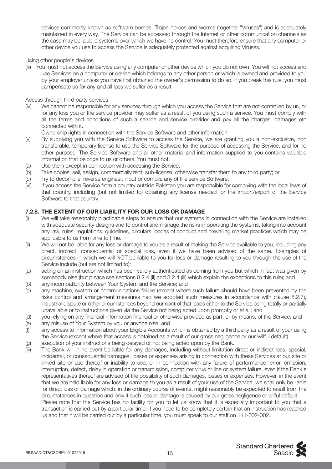devices commonly known as software bombs, Trojan horses and worms (together "Viruses") and is adequately maintained in every way. The Service can be accessed through the Internet or other communication channels as the case may be, public systems over which we have no control. You must therefore ensure that any computer or other device you use to access the Service is adequately protected against acquiring Viruses.

Using other people's devices

(iii) You must not access the Service using any computer or other device which you do not own. You will not access and use Services on a computer or device which belongs to any other person or which is owned and provided to you by your employer unless you have first obtained the owner's permission to do so. If you break this rule, you must compensate us for any and all loss we suffer as a result.

Access through third party services

(iv) We cannot be responsible for any services through which you access the Service that are not controlled by us, or for any loss you or the service provider may suffer as a result of you using such a service. You must comply with all the terms and conditions of such a service and service provider and pay all the charges, damages etc connected with it.

Ownership rights in connection with the Service Software and other information

- (v) By supplying you with the Service Software to access the Service, we are granting you a non-exclusive, non transferable, temporary license to use the Service Software for the purpose of accessing the Service, and for no other purpose. The Service Software and all other material and information supplied to you contains valuable information that belongs to us or others. You must not:
- (a) Use them except in connection with accessing the Service;
- (b) Take copies, sell, assign, commercially rent, sub-license, otherwise transfer them to any third party; or
- (c) Try to decompile, reverse engineer, input or compile any of the service Software.
- (vi) If you access the Service from a country outside Pakistan you are responsible for complying with the local laws of that country, including (but not limited to) obtaining any license needed for the import/export of the Service Software to that country.

# **7.2.8. THE EXTENT OF OUR LIABILITY FOR OUR LOSS OR DAMAGE**

- (i) We will take reasonably practicable steps to ensure that our systems in connection with the Service are installed with adequate security designs and to control and manage the risks in operating the systems, taking into account any law, rules, regulations, guidelines, circulars, codes of conduct and prevailing market practices which may be applicable to us from time to time.
- (ii) We will not be liable for any loss or damage to you as a result of making the Service available to you, including any direct, indirect, consequential or special loss, even if we have been advised of the same. Examples of circumstances in which we will NOT be liable to you for loss or damage resulting to you through the use of the Service include (but are not limited to):
- (a) acting on an instruction which has been validly authenticated as coming from you but which in fact was given by somebody else (but please see sections 8.2.4 (ii) and 8.2.4 (iii) which explain the exceptions to this rule); and
- (b) any incompatibility between Your System and the Service; and
- (c) any machine, system or communications failure (except where such failure should have been prevented by the risks control and arrangement measures had we adopted such measures in accordance with clause 8.2.7), industrial dispute or other circumstances beyond our control that leads either to the Service being totally or partially unavailable or to instructions given via the Service not being acted upon promptly or at all; and
- (d) you relying on any financial information financial or otherwise provided as part, or by means, of the Service; and
- (e) any misuse of Your System by you or anyone else; and
- (f) any access to information about your Eligible Accounts which is obtained by a third party as a result of your using the Service (except where that access is obtained as a result of our gross negligence or our willful default).
- (g) execution of your instructions being delayed or not being acted upon by the Bank.
- (iii) The Bank will in no event be liable for any damages, including without limitation direct or indirect loss, special, incidental, or consequential damages, losses or expenses arising in connection with these Services at our site or linked site or use thereof or inability to use, or in connection with any failure of performance, error, omission, interruption, defect, delay in operation or transmission, computer virus or line or system failure, even if the Bank's representatives thereof are advised of the possibility of such damages, losses or expenses. However, in the event that we are held liable for any loss or damage to you as a result of your use of the Service, we shall only be liable for direct loss or damage which, in the ordinary course of events, might reasonably be expected to result from the circumstances in question and only if such loss or damage is caused by our gross negligence or wilful default. Please note that the Service has no facility for you to let us know that it is especially important to you that a transaction is carried out by a particular time. If you need to be completely certain that an instruction has reached us and that it will be carried out by a particular time, you must speak to our staff on 111-002-002.

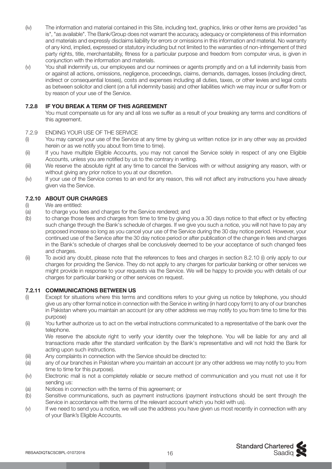- (iv) The information and material contained in this Site, including text, graphics, links or other items are provided "as is", "as available". The Bank/Group does not warrant the accuracy, adequacy or completeness of this information and materials and expressly disclaims liability for errors or omissions in this information and material. No warranty of any kind, implied, expressed or statutory including but not limited to the warranties of non-infringement of third party rights, title, merchantability, fitness for a particular purpose and freedom from computer virus, is given in conjunction with the information and materials.
- (v) You shall indemnify us, our employees and our nominees or agents promptly and on a full indemnity basis from or against all actions, omissions, negligence, proceedings, claims, demands, damages, losses (including direct, indirect or consequential losses), costs and expenses including all duties, taxes, or other levies and legal costs as between solicitor and client (on a full indemnity basis) and other liabilities which we may incur or suffer from or by reason of your use of the Service.

# **7.2.8 IF YOU BREAK A TERM OF THIS AGREEMENT**

 You must compensate us for any and all loss we suffer as a result of your breaking any terms and conditions of this agreement.

#### 7.2.9 ENDING YOUR USE OF THE SERVICE

- (i) You may cancel your use of the Service at any time by giving us written notice (or in any other way as provided herein or as we notify you about from time to time).
- (ii) If you have multiple Eligible Accounts, you may not cancel the Service solely in respect of any one Eligible Accounts, unless you are notified by us to the contrary in writing.
- (iii) We reserve the absolute right at any time to cancel the Services with or without assigning any reason, with or without giving any prior notice to you at our discretion.
- (iv) If your use of the Service comes to an end for any reason, this will not affect any instructions you have already given via the Service.

# **7.2.10 ABOUT OUR CHARGES**

- (i) We are entitled:
- 
- (a) to charge you fees and charges for the Service rendered; and<br>(b) to change those fees and charges from time to time by giving to change those fees and charges from time to time by giving you a 30 days notice to that effect or by effecting such change through the Bank's schedule of charges. If we give you such a notice, you will not have to pay any proposed increase so long as you cancel your use of the Service during the 30 day notice period. However, your continued use of the Service after the 30 day notice period or after publication of the change in fees and charges in the Bank's schedule of charges shall be conclusively deemed to be your acceptance of such changed fees and charges.
- (ii) To avoid any doubt, please note that the references to fees and charges in section 8.2.10 (i) only apply to our charges for providing the Service. They do not apply to any charges for particular banking or other services we might provide in response to your requests via the Service. We will be happy to provide you with details of our charges for particular banking or other services on request.

#### **7.2.11 COMMUNICATIONS BETWEEN US**

- (i) Except for situations where this terms and conditions refers to your giving us notice by telephone, you should give us any other formal notice in connection with the Service in writing (in hard copy form) to any of our branches in Pakistan where you maintain an account (or any other address we may notify to you from time to time for this purpose)
- (ii) You further authorize us to act on the verbal instructions communicated to a representative of the bank over the telephone.

 We reserve the absolute right to verify your identity over the telephone. You will be liable for any and all transactions made after the standard verification by the Bank's representative and will not hold the Bank for acting upon such instructions.

- (iii) Any complaints in connection with the Service should be directed to:
- (a) any of our branches in Pakistan where you maintain an account (or any other address we may notify to you from time to time for this purpose).
- (iv) Electronic mail is not a completely reliable or secure method of communication and you must not use it for sending us:
- (a) Notices in connection with the terms of this agreement; or
- (b) Sensitive communications, such as payment instructions (payment instructions should be sent through the Service in accordance with the terms of the relevant account which you hold with us).
- (v) If we need to send you a notice, we will use the address you have given us most recently in connection with any of your Bank's Eligible Accounts.

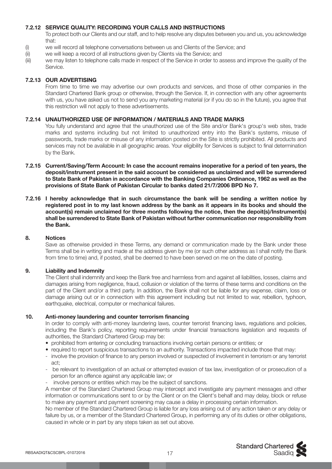# **7.2.12 SERVICE QUALITY: RECORDING YOUR CALLS AND INSTRUCTIONS**

 To protect both our Clients and our staff, and to help resolve any disputes between you and us, you acknowledge that:

- (i) we will record all telephone conversations between us and Clients of the Service; and
- (ii) we will keep a record of all instructions given by Clients via the Service; and
- (iii) we may listen to telephone calls made in respect of the Service in order to assess and improve the quality of the Service.

#### **7.2.13 OUR ADVERTISING**

 From time to time we may advertise our own products and services, and those of other companies in the Standard Chartered Bank group or otherwise, through the Service. If, in connection with any other agreements with us, you have asked us not to send you any marketing material (or if you do so in the future), you agree that this restriction will not apply to these advertisements.

#### **7.2.14 UNAUTHORIZED USE OF INFORMATION / MATERIALS AND TRADE MARKS**

 You fully understand and agree that the unauthorized use of the Site and/or Bank's group's web sites, trade marks and systems including but not limited to unauthorized entry into the Bank's systems, misuse of passwords, trade marks or misuse of any information posted on the Site is strictly prohibited. All products and services may not be available in all geographic areas. Your eligibility for Services is subject to final determination by the Bank.

- **7.2.15 Current/Saving/Term Account: In case the account remains inoperative for a period of ten years, the deposit/instrument present in the said account be considered as unclaimed and will be surrendered to State Bank of Pakistan in accordance with the Banking Companies Ordinance, 1962 as well as the provisions of State Bank of Pakistan Circular to banks dated 21/7/2006 BPD No 7.**
- **7.2.16 I hereby acknowledge that in such circumstance the bank will be sending a written notice by registered post in to my last known address by the bank as it appears in its books and should the account(s) remain unclaimed for three months following the notice, then the depoit(s)/Instrument(s) shall be surrendered to State Bank of Pakistan without further communication nor responsibility from the Bank.**

#### **8. Notices**

 Save as otherwise provided in these Terms, any demand or communication made by the Bank under these Terms shall be in writing and made at the address given by me (or such other address as I shall notify the Bank from time to time) and, if posted, shall be deemed to have been served on me on the date of posting.

#### **9. Liability and Indemnity**

 The Client shall indemnify and keep the Bank free and harmless from and against all liabilities, losses, claims and damages arising from negligence, fraud, collusion or violation of the terms of these terms and conditions on the part of the Client and/or a third party. In addition, the Bank shall not be liable for any expense, claim, loss or damage arising out or in connection with this agreement including but not limited to war, rebellion, typhoon, earthquake, electrical, computer or mechanical failures.

# **10. Anti-money laundering and counter terrorism financing**

In order to comply with anti-money laundering laws, counter terrorist financing laws, regulations and policies, including the Bank's policy, reporting requirements under financial transactions legislation and requests of authorities, the Standard Chartered Group may be:

- prohibited from entering or concluding transactions involving certain persons or entities; or
- required to report suspicious transactions to an authority. Transactions impacted include those that may:
- involve the provision of finance to any person involved or suspected of involvement in terrorism or any terrorist act;
- be relevant to investigation of an actual or attempted evasion of tax law, investigation of or prosecution of a person for an offence against any applicable law; or
- involve persons or entities which may be the subject of sanctions.

 A member of the Standard Chartered Group may intercept and investigate any payment messages and other information or communications sent to or by the Client or on the Client's behalf and may delay, block or refuse to make any payment and payment screening may cause a delay in processing certain information.

 No member of the Standard Chartered Group is liable for any loss arising out of any action taken or any delay or failure by us, or a member of the Standard Chartered Group, in performing any of its duties or other obligations, caused in whole or in part by any steps taken as set out above.

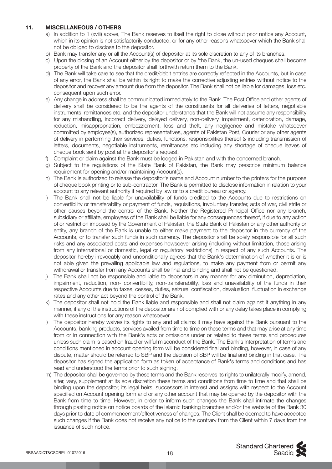# **11. MISCELLANEOUS / OTHERS**

- a) In addition to 1 (xviii) above, The Bank reserves to itself the right to close without prior notice any Account, which in its opinion is not satisfactorily conducted, or for any other reasons whatsoever which the Bank shall not be obliged to disclose to the depositor.
- b) Bank may transfer any or all the Account(s) of depositor at its sole discretion to any of its branches.
- c) Upon the closing of an Account either by the depositor or by 'the Bank, the un-used cheques shall become property of the Bank and the depositor shall forthwith return them to the Bank.
- d) The Bank will take care to see that the credit/debit entries are correctly reflected in the Accounts, but in case of any error, the Bank shall be within its right to make the corrective adjusting entries without notice to the depositor and recover any amount due from the depositor. The Bank shall not be liable for damages, loss etc. consequent upon such error.
- e) Any change in address shall be communicated immediately to the Bank. The Post Office and other agents of delivery shall be considered to be the agents of the constituents for all deliveries of letters, negotiable instruments, remittances etc. and the depositor understands that the Bank will not assume any responsibility for any mishandling, incorrect delivery, delayed delivery, non-delivery, impairment, deterioration, damage, reduction, misappropriation, embezzlement, loss and theft, any negligence and mistake whatsoever committed by employee(s), authorized representatives, agents of Pakistan Post, Courier or any other agents of delivery in performing their services, duties, functions, responsibilities thereof & including transmission of letters, documents, negotiable instruments, remittances etc including any shortage of cheque leaves of cheque book sent by post at the depositor's request.
- f) Complaint or claim against the Bank must be lodged in Pakistan and with the concerned branch.
- g) Subject to the regulations of the State Bank of Pakistan, the Bank may prescribe minimum balance requirement for opening and/or maintaining Account(s).
- h) The Bank is authorized to release the depositor's name and Account number to the printers for the purpose of cheque book printing or to sub-contractor. The Bank is permitted to disclose information in relation to your account to any relevant authority if required by law or to a credit bureau or agency.
- i) The Bank shall not be liable for unavailability of funds credited to the Accounts due to restrictions on convertibility or transferability or payment of funds, requisitions, involuntary transfer, acts of war, civil strife or other causes beyond the control of the Bank. Neither the Registered Principal Office nor any branch, subsidiary or affiliate, employees of the Bank shall be liable for any consequences thereof, if due to any action of or restriction imposed by the Government of Pakistan, the State Bank of Pakistan or any other authority or entity, any branch of the Bank is unable to either make payment to the depositor in the currency of the Accounts, or to transfer such funds in such currency. The depositor shall be solely responsible for all such risks and any associated costs and expenses howsoever arising (including without limitation, those arising from any international or domestic, legal or regulatory restrictions) in respect of any such Accounts. The depositor hereby irrevocably and unconditionally agrees that the Bank's determination of whether it is or is not able given the prevailing applicable law and regulations, to make any payment from or permit any withdrawal or transfer from any Accounts shall be final and binding and shall not be questioned.
- j) The Bank shall not be responsible and liable to depositors in any manner for any diminution, depreciation, impairment, reduction, non- convertibility, non-transferability, loss and unavailability of the funds in their respective Accounts due to taxes, cesses, duties, seizure, confiscation, devaluation, fluctuation in exchange rates and any other act beyond the control of the Bank.
- k) The depositor shall not hold the Bank liable and responsible and shall not claim against it anything in any manner, if any of the instructions of the depositor are not complied with or any delay takes place in complying with these instructions for any reason whatsoever.
- l) The depositor hereby waives its rights to any and all claims it may have against the Bank pursuant to the Accounts, banking products, services availed from time to time on these terms and that may arise at any time from or in connection with the Bank's acts or omissions under or related to these terms and procedures unless such claim is based on fraud or willful misconduct of the Bank. The Bank's Interpretation of terms and conditions mentioned in account opening form will be considered final and binding, however, in case of any dispute, matter should be referred to SBP and the decision of SBP will be final and binding in that case. The depositor has signed the application form as token of acceptance of Bank's terms and conditions and has read and understood the terms prior to such signing.
- m) The depositor shall be governed by these terms and the Bank reserves its rights to unilaterally modify, amend, alter, vary, supplement at its sole discretion these terms and conditions from time to time and that shall be binding upon the depositor, its legal heirs, successors in interest and assigns with respect to the Account specified on Account opening form and or any other account that may be opened by the depositor with the Bank from time to time. However, in order to inform such changes the Bank shall intimate the changes through pasting notice on notice boards of the Islamic banking branches and/or the website of the Bank 30 days prior to date of commencement/effectiveness of changes. The Client shall be deemed to have accepted such changes if the Bank does not receive any notice to the contrary from the Client within 7 days from the issuance of such notice.

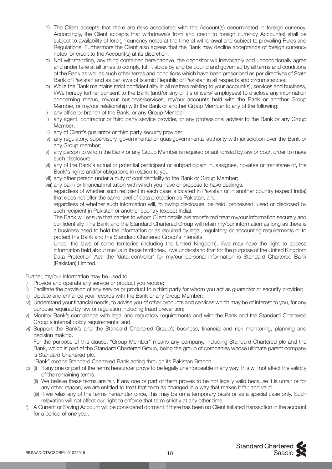- n) The Client accepts that there are risks associated with the Account(s) denominated in foreign currency. Accordingly, the Client accepts that withdrawals from and credit to foreign currency Account(s) shall be subject to availability of foreign currency notes at the time of withdrawal and subject to prevailing Rules and Regulations. Furthermore the Client also agrees that the Bank may decline acceptance of foreign currency notes for credit to the Account(s) at its discretion.
- o) Not withstanding, any thing contained hereinabove, the depositor will irrevocably and unconditionally agree and under take at all times to comply, fulfill, abide by and be bound and governed by all terms and conditions of the Bank as well as such other terms and conditions which have been prescribed as per directives of State Bank of Pakistan and as per laws of Islamic Republic of Pakistan in all respects and circumstances.
- p) While the Bank maintains strict confidentiality in all matters relating to your account(s), services and business, I/We hereby further consent to the Bank (and/or any of it's officers/ employees) to disclose any information concerning me/us, my/our business/services, my/our accounts held with the Bank or another Group Member, or my/our relationship with the Bank or another Group Member to any of the following:
- i) any office or branch of the Bank, or any Group Member;
- ii) any agent, contractor or third party service provider, or any professional adviser to the Bank or any Group Member;
- iii) any of Client's guarantor or third party security provider;
- iv) any regulatory, supervisory, governmental or quasigovernmental authority with jurisdiction over the Bank or any Group member;
- v) any person to whom the Bank or any Group Member is required or authorised by law or court order to make such disclosure;
- vi) any of the Bank's actual or potential participant or subparticipant in, assignee, novatee or transferee of, the Bank's rights and/or obligations in relation to you;
- vii) any other person under a duty of confidentiality to the Bank or Group Member;
- viii) any bank or financial institution with which you have or propose to have dealings.

 regardless of whether such recipient in each case is located in Pakistan or in another country (expect India) that does not offer the same level of data protection as Pakistan, and

 regardless of whether such information will, following disclosure, be held, processed, used or disclosed by such recipient in Pakistan or another country (except India).

 The Bank will ensure that parties to whom Client details are transferred treat my/our information securely and confidentially. The Bank and the Standard Chartered Group will retain my/our information as long as there is a business need to hold the information or as required by legal, regulatory, or accounting requirements or to protect the Bank and the Standard Chartered Group's interests.

 Under the laws of some territories (including the United Kingdom), I/we may have the right to access information held about me/us in those territories. I/we understand that for the purpose of the United Kingdom Data Protection Act, the 'data controller' for my/our personal information is Standard Chartered Bank (Pakistan) Limited.

Further, my/our information may be used to:

- i) Provide and operate any service or product you require;
- ii) Facilitate the provision of any service or product to a third party for whom you act as guarantor or security provider;
- iii) Update and enhance your records with the Bank or any Group Member;
- iv) Understand your financial needs, to advise you of other products and services which may be of interest to you, for any purpose required by law or regulation including fraud prevention;
- v) Monitor Bank's compliance with legal and regulatory requirements and with the Bank and the Standard Chartered Group's internal policy requirements; and
- vi) Support the Bank's and the Standard Chartered Group's business, financial and risk monitoring, planning and decision making.

 For the purpose of this clause, "Group Member" means any company, including Standard Chartered plc and the Bank, which is part of the Standard Chartered Group, being the group of companies whose ultimate parent company is Standard Chartered plc.

"Bank" means Standard Chartered Bank acting through its Pakistan Branch.

- q) (i) If any one or part of the terms hereunder prove to be legally unenforceable in any way, this will not affect the validity of the remaining terms.
	- (ii) We believe these terms are fair. If any one or part of them proves to be not legally valid because it is unfair or for any other reason, we are entitled to treat that term as changed in a way that makes it fair and valid.
	- (iii) If we relax any of the terms hereunder once, this may be on a temporary basis or as a special case only. Such relaxation will not affect our right to enforce that term strictly at any other time.
- r) A Current or Saving Account will be considered dormant if there has been no Client initiated transaction in the account for a period of one year.